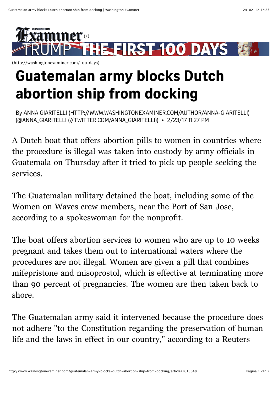

[\(http://washingtonexaminer.com/100-days\)](http://washingtonexaminer.com/100-days)

## **Guatemalan army blocks Dutch abortion ship from docking**

By ANNA GIARITELLI (HTTP://WWW.WASHINGTONEXAMINER.COM/AUTHOR/ANNA-GIARITELLI) (@ANNA GIARITELLI (//TWITTER.COM/ANNA GIARITELLI)) · 2/23/17 11:27 PM

A Dutch boat that offers abortion pills to women in countries where the procedure is illegal was taken into custody by army officials in Guatemala on Thursday after it tried to pick up people seeking the services.

The Guatemalan military detained the boat, including some of the Women on Waves crew members, near the Port of San Jose, according to a spokeswoman for the nonprofit.

The boat offers abortion services to women who are up to 10 weeks pregnant and takes them out to international waters where the procedures are not illegal. Women are given a pill that combines mifepristone and misoprostol, which is effective at terminating more than 90 percent of pregnancies. The women are then taken back to shore.

The Guatemalan army said it intervened because the procedure does not adhere "to the Constitution regarding the preservation of human life and the laws in effect in our country," according to a Reuters